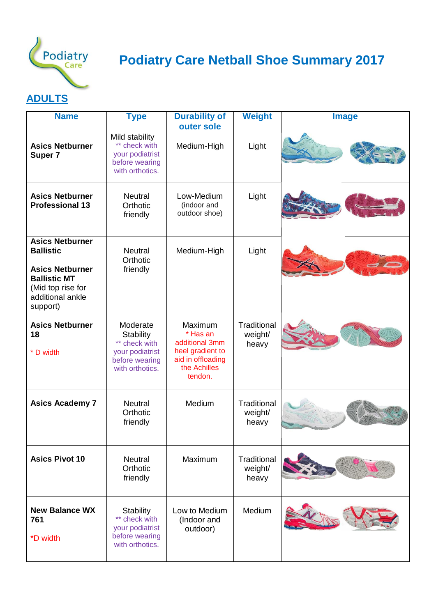

# **Podiatry Care Netball Shoe Summary 2017**

### **ADULTS**

| <b>Name</b>                                                                                                                                      | <b>Type</b>                                                                                           | <b>Durability of</b><br>outer sole                                                                        | <b>Weight</b>                          | <b>Image</b> |
|--------------------------------------------------------------------------------------------------------------------------------------------------|-------------------------------------------------------------------------------------------------------|-----------------------------------------------------------------------------------------------------------|----------------------------------------|--------------|
| <b>Asics Netburner</b><br>Super 7                                                                                                                | Mild stability<br>** check with<br>your podiatrist<br>before wearing<br>with orthotics.               | Medium-High                                                                                               | Light                                  |              |
| <b>Asics Netburner</b><br><b>Professional 13</b>                                                                                                 | <b>Neutral</b><br>Orthotic<br>friendly                                                                | Low-Medium<br>(indoor and<br>outdoor shoe)                                                                | Light                                  |              |
| <b>Asics Netburner</b><br><b>Ballistic</b><br><b>Asics Netburner</b><br><b>Ballistic MT</b><br>(Mid top rise for<br>additional ankle<br>support) | <b>Neutral</b><br>Orthotic<br>friendly                                                                | Medium-High                                                                                               | Light                                  |              |
| <b>Asics Netburner</b><br>18<br>* D width                                                                                                        | Moderate<br><b>Stability</b><br>** check with<br>your podiatrist<br>before wearing<br>with orthotics. | Maximum<br>* Has an<br>additional 3mm<br>heel gradient to<br>aid in offloading<br>the Achilles<br>tendon. | <b>Traditional</b><br>weight/<br>heavy |              |
| <b>Asics Academy 7</b>                                                                                                                           | <b>Neutral</b><br>Orthotic<br>friendly                                                                | Medium                                                                                                    | Traditional<br>weight/<br>heavy        |              |
| <b>Asics Pivot 10</b>                                                                                                                            | <b>Neutral</b><br>Orthotic<br>friendly                                                                | Maximum                                                                                                   | Traditional<br>weight/<br>heavy        |              |
| <b>New Balance WX</b><br>761<br>*D width                                                                                                         | <b>Stability</b><br>** check with<br>your podiatrist<br>before wearing<br>with orthotics.             | Low to Medium<br>(Indoor and<br>outdoor)                                                                  | Medium                                 |              |